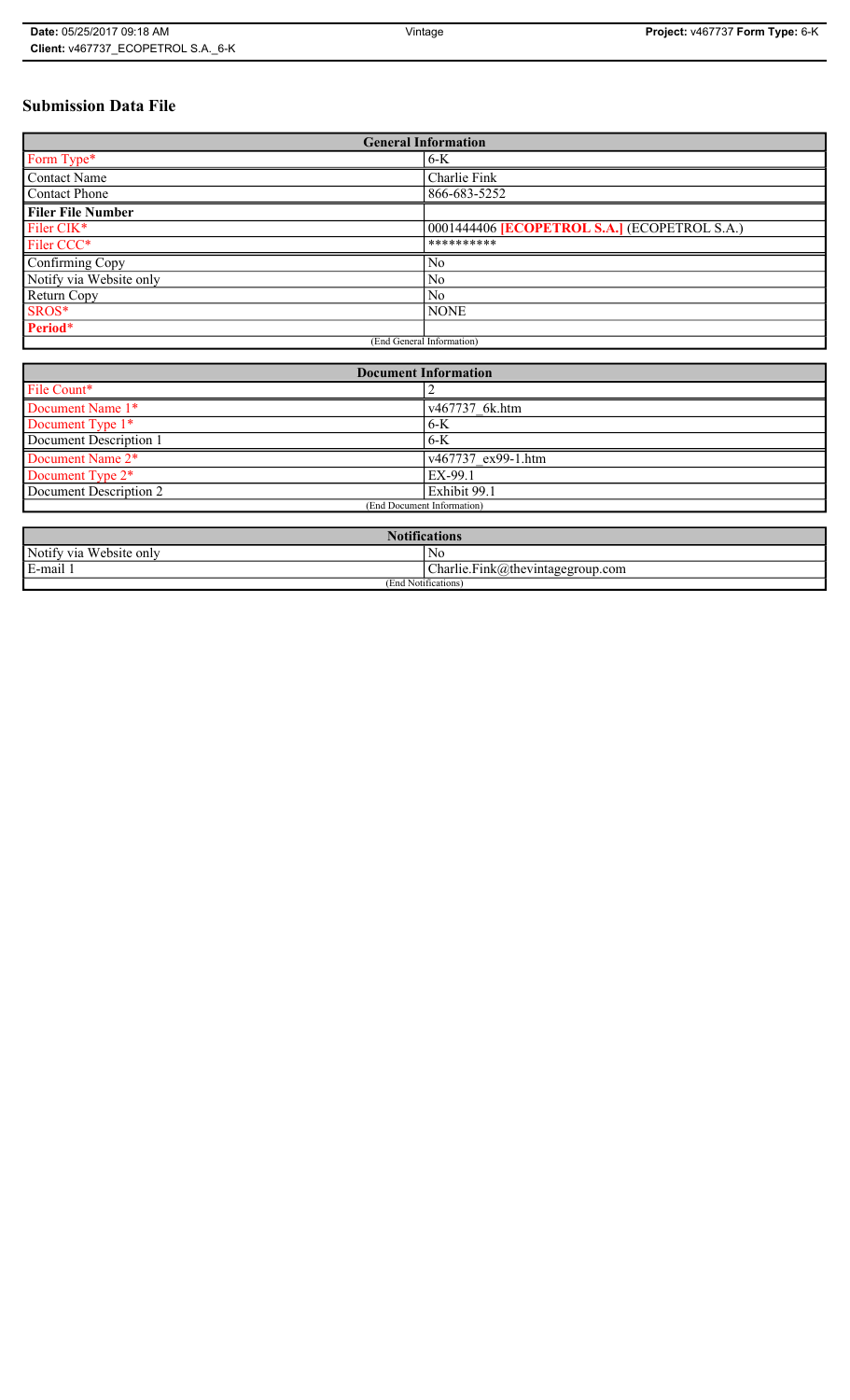# **Submission Data File**

| <b>General Information</b> |                                                   |
|----------------------------|---------------------------------------------------|
| Form Type*                 | $6-K$                                             |
| <b>Contact Name</b>        | Charlie Fink                                      |
| <b>Contact Phone</b>       | 866-683-5252                                      |
| <b>Filer File Number</b>   |                                                   |
| Filer CIK*                 | 0001444406 <b>ECOPETROL S.A.</b> (ECOPETROL S.A.) |
| Filer CCC*                 | **********                                        |
| Confirming Copy            | N <sub>0</sub>                                    |
| Notify via Website only    | N <sub>0</sub>                                    |
| Return Copy                | N <sub>0</sub>                                    |
| SROS*                      | <b>NONE</b>                                       |
| Period*                    |                                                   |
| (End General Information)  |                                                   |

| <b>Document Information</b> |                    |
|-----------------------------|--------------------|
| File Count*                 |                    |
| Document Name 1*            | v467737 6k.htm     |
| Document Type 1*            | $6-K$              |
| Document Description 1      | 6-K                |
| Document Name 2*            | v467737 ex99-1.htm |
| Document Type 2*            | EX-99.1            |
| Document Description 2      | Exhibit 99.1       |
| (End Document Information)  |                    |
|                             |                    |

| <b>Notifications</b>    |                                  |
|-------------------------|----------------------------------|
| Notify via Website only | No                               |
| E-mail                  | Charlie.Fink@thevintagegroup.com |
| (End Notifications)     |                                  |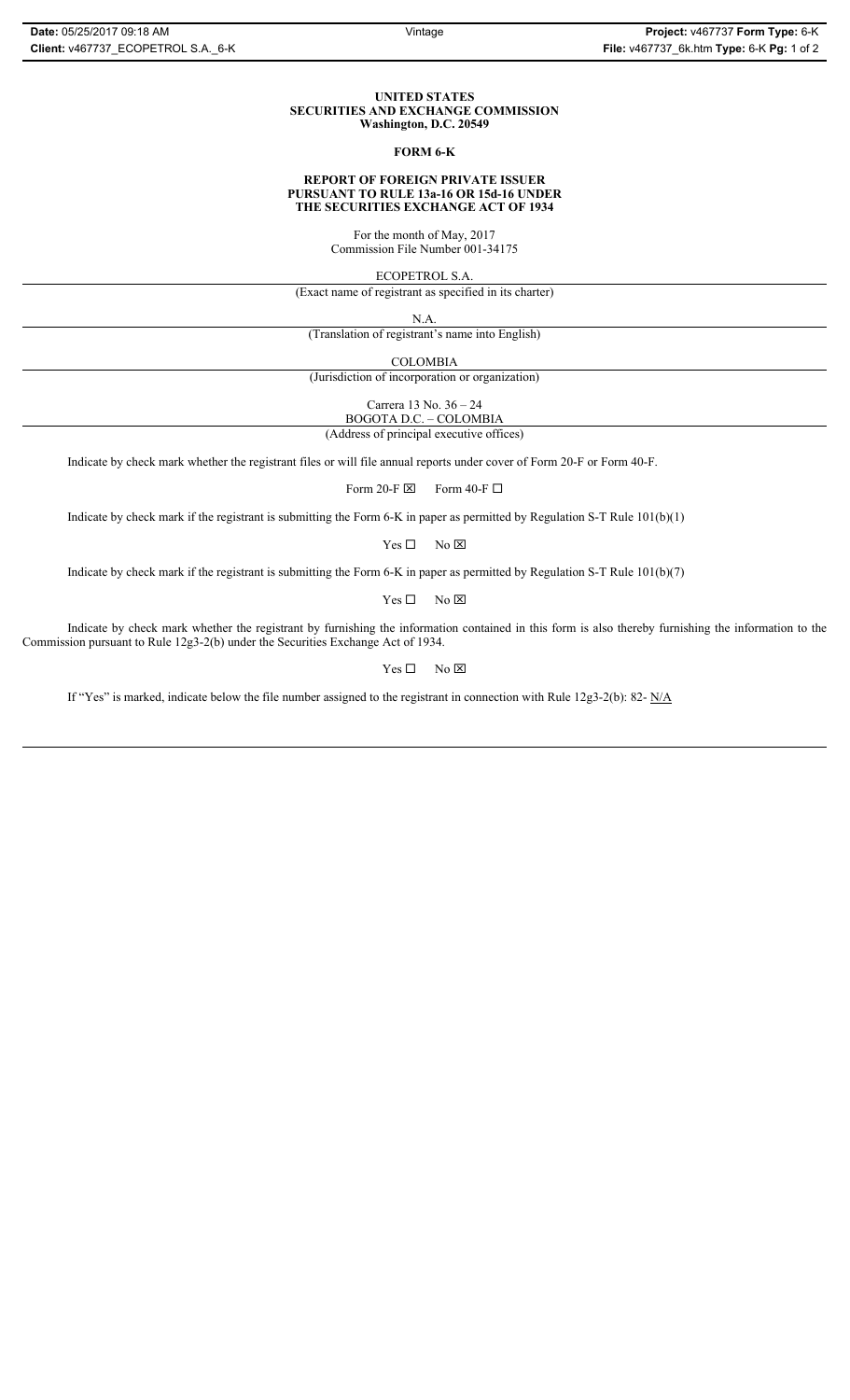#### **UNITED STATES SECURITIES AND EXCHANGE COMMISSION Washington, D.C. 20549**

### **FORM 6-K**

#### **REPORT OF FOREIGN PRIVATE ISSUER PURSUANT TO RULE 13a-16 OR 15d-16 UNDER THE SECURITIES EXCHANGE ACT OF 1934**

For the month of May, 2017 Commission File Number 001-34175

ECOPETROL S.A.

(Exact name of registrant as specified in its charter)

N.A.

(Translation of registrant's name into English)

COLOMBIA

(Jurisdiction of incorporation or organization)

Carrera 13 No. 36 – 24

BOGOTA D.C. – COLOMBIA (Address of principal executive offices)

Indicate by check mark whether the registrant files or will file annual reports under cover of Form 20-F or Form 40-F.

Form 20-F  $\boxtimes$  Form 40-F  $\Box$ 

Indicate by check mark if the registrant is submitting the Form 6-K in paper as permitted by Regulation S-T Rule 101(b)(1)

 $Yes \Box$  No  $\boxtimes$ 

Indicate by check mark if the registrant is submitting the Form 6-K in paper as permitted by Regulation S-T Rule 101(b)(7)

 $Yes \Box$  No  $\boxtimes$ 

Indicate by check mark whether the registrant by furnishing the information contained in this form is also thereby furnishing the information to the Commission pursuant to Rule 12g3-2(b) under the Securities Exchange Act of 1934.

 $Yes \Box$  No  $\boxtimes$ 

If "Yes" is marked, indicate below the file number assigned to the registrant in connection with Rule 12g3-2(b): 82- N/A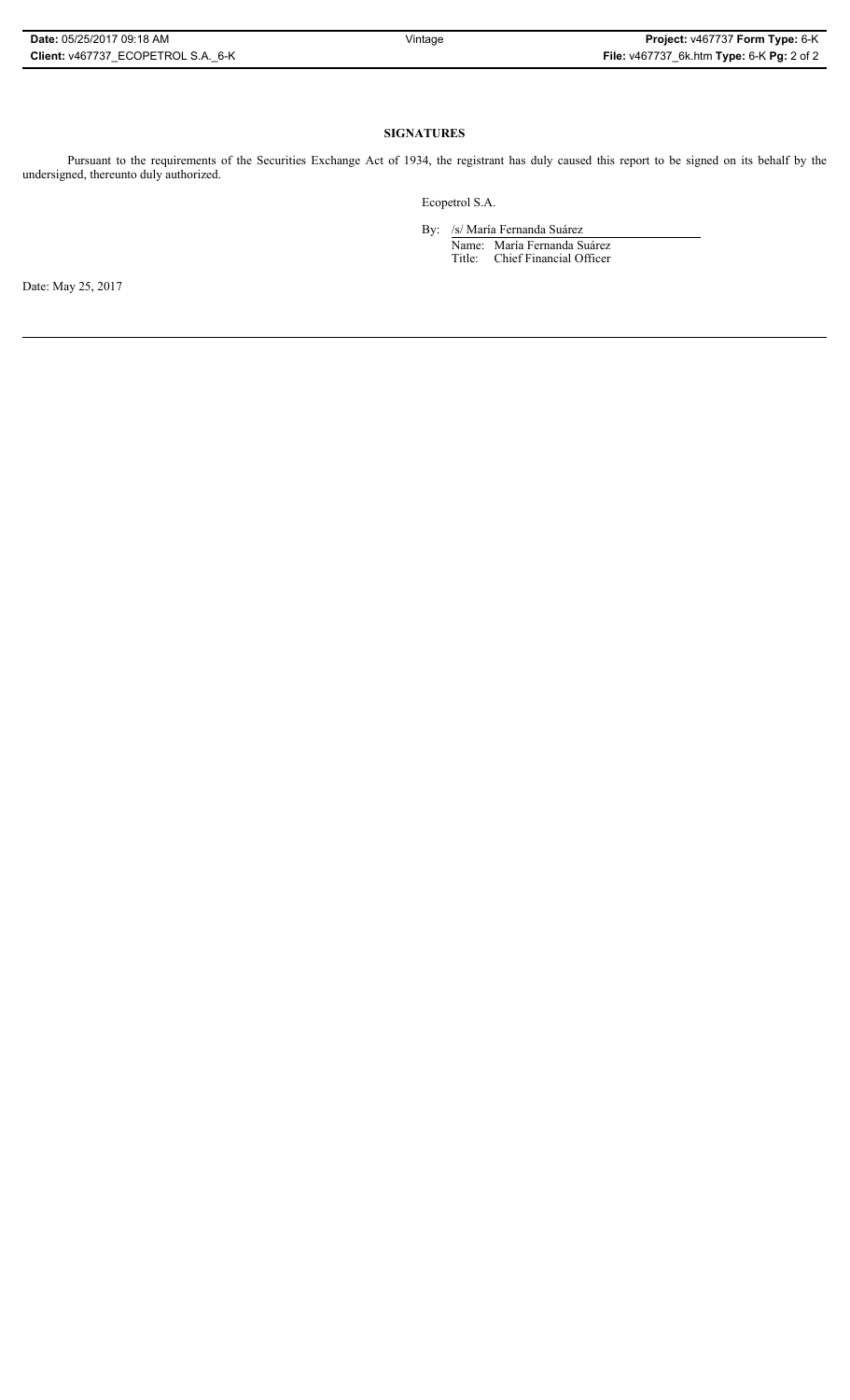# **SIGNATURES**

Pursuant to the requirements of the Securities Exchange Act of 1934, the registrant has duly caused this report to be signed on its behalf by the undersigned, thereunto duly authorized.

Ecopetrol S.A.

By: /s/ María Fernanda Suárez Name: María Fernanda Suárez Title: Chief Financial Officer

Date: May 25, 2017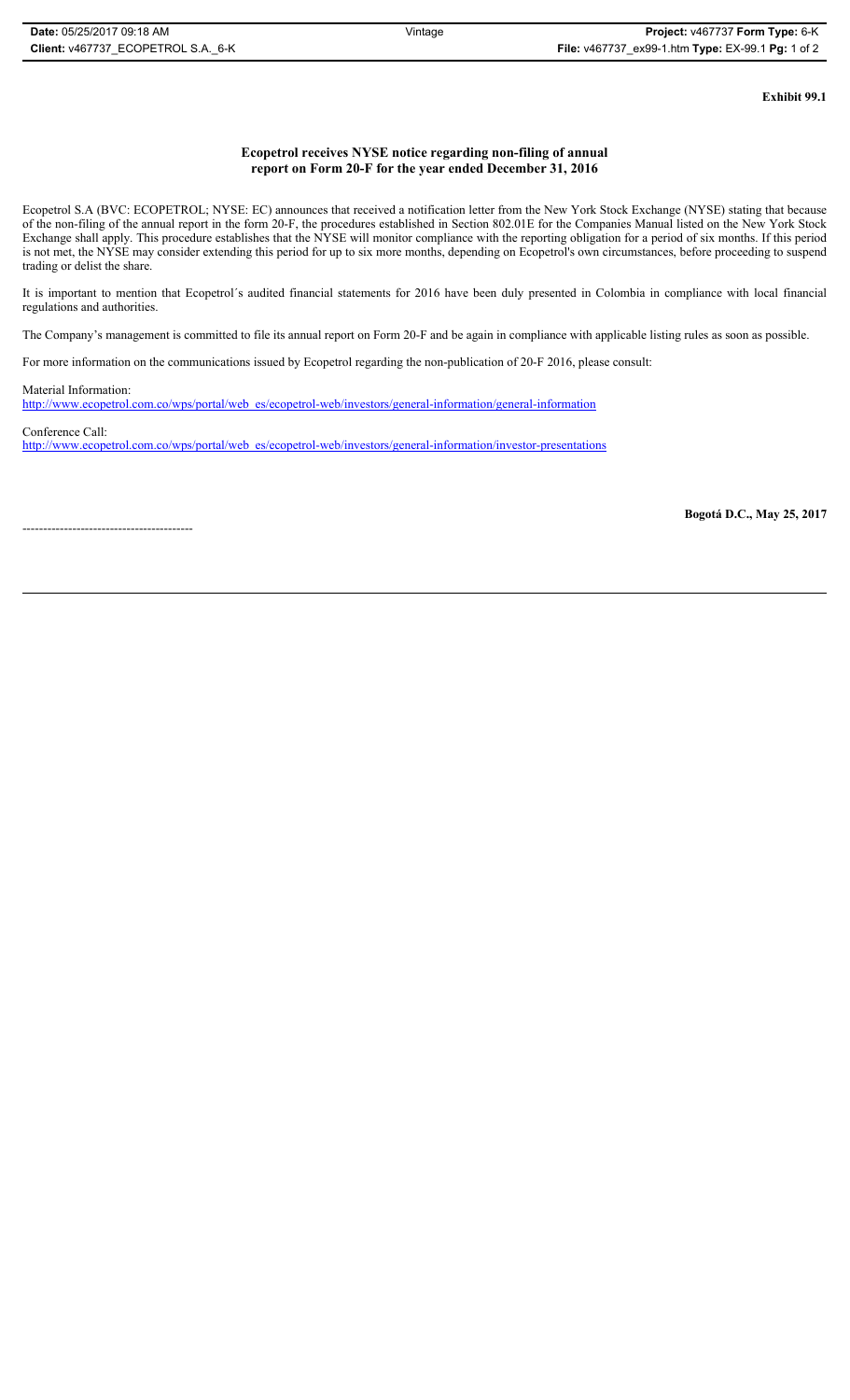**Exhibit 99.1**

# **Ecopetrol receives NYSE notice regarding non-filing of annual report on Form 20-F for the year ended December 31, 2016**

Ecopetrol S.A (BVC: ECOPETROL; NYSE: EC) announces that received a notification letter from the New York Stock Exchange (NYSE) stating that because of the non-filing of the annual report in the form 20-F, the procedures established in Section 802.01E for the Companies Manual listed on the New York Stock Exchange shall apply. This procedure establishes that the NYSE will monitor compliance with the reporting obligation for a period of six months. If this period is not met, the NYSE may consider extending this period for up to six more months, depending on Ecopetrol's own circumstances, before proceeding to suspend trading or delist the share.

It is important to mention that Ecopetrol´s audited financial statements for 2016 have been duly presented in Colombia in compliance with local financial regulations and authorities.

The Company's management is committed to file its annual report on Form 20-F and be again in compliance with applicable listing rules as soon as possible.

For more information on the communications issued by Ecopetrol regarding the non-publication of 20-F 2016, please consult:

Material Information:

http://www.ecopetrol.com.co/wps/portal/web\_es/ecopetrol-web/investors/general-information/general-information

Conference Call: http://www.ecopetrol.com.co/wps/portal/web\_es/ecopetrol-web/investors/general-information/investor-presentations

-----------------------------------------

**Bogotá D.C., May 25, 2017**